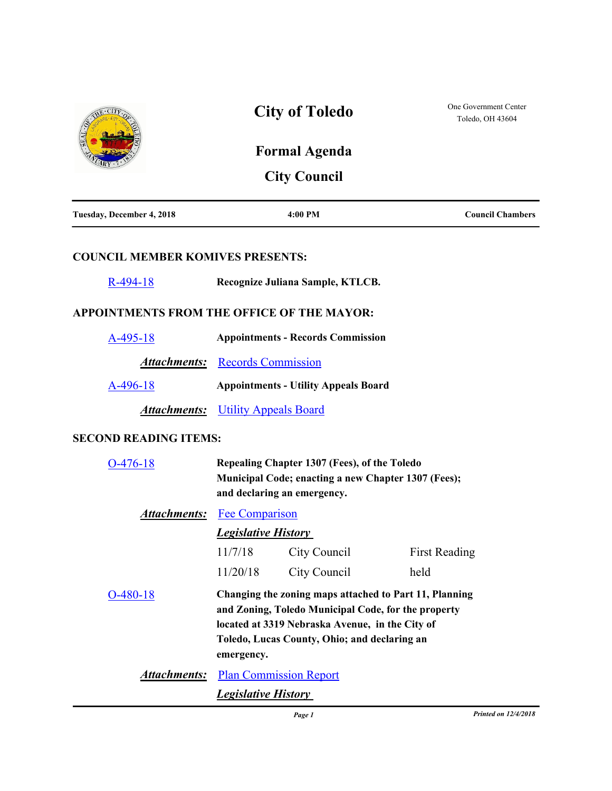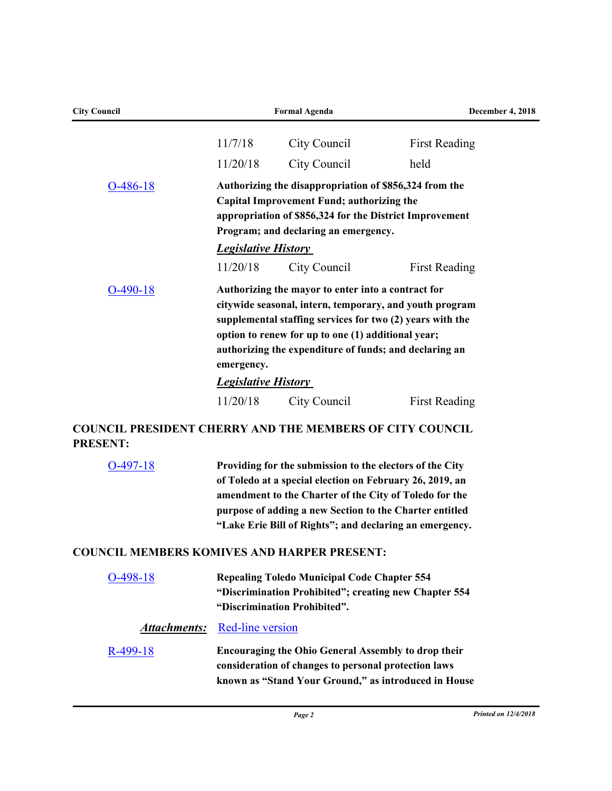| <b>City Council</b>                                                                |                            | <b>Formal Agenda</b>                                                                                                                                                                                                                                                                                       | December 4, 2018     |
|------------------------------------------------------------------------------------|----------------------------|------------------------------------------------------------------------------------------------------------------------------------------------------------------------------------------------------------------------------------------------------------------------------------------------------------|----------------------|
|                                                                                    | 11/7/18                    | City Council                                                                                                                                                                                                                                                                                               | <b>First Reading</b> |
|                                                                                    | 11/20/18                   | City Council                                                                                                                                                                                                                                                                                               | held                 |
| $O-486-18$                                                                         | <b>Legislative History</b> | Authorizing the disappropriation of \$856,324 from the<br>Capital Improvement Fund; authorizing the<br>appropriation of \$856,324 for the District Improvement<br>Program; and declaring an emergency.                                                                                                     |                      |
| $O-490-18$                                                                         | 11/20/18<br>emergency.     | City Council<br>Authorizing the mayor to enter into a contract for<br>citywide seasonal, intern, temporary, and youth program<br>supplemental staffing services for two (2) years with the<br>option to renew for up to one (1) additional year;<br>authorizing the expenditure of funds; and declaring an | <b>First Reading</b> |
|                                                                                    | <b>Legislative History</b> |                                                                                                                                                                                                                                                                                                            |                      |
|                                                                                    | 11/20/18                   | City Council                                                                                                                                                                                                                                                                                               | <b>First Reading</b> |
| <b>COUNCIL PRESIDENT CHERRY AND THE MEMBERS OF CITY COUNCIL</b><br><b>PRESENT:</b> |                            |                                                                                                                                                                                                                                                                                                            |                      |
| $O-497-18$                                                                         |                            | Providing for the submission to the electors of the City<br>of Toledo at a special election on February 26, 2019, an<br>amendment to the Charter of the City of Toledo for the<br>purpose of adding a new Section to the Charter entitled<br>"Lake Erie Bill of Rights"; and declaring an emergency.       |                      |
| <b>COUNCIL MEMBERS KOMIVES AND HARPER PRESENT:</b>                                 |                            |                                                                                                                                                                                                                                                                                                            |                      |
| $O-498-18$                                                                         |                            | <b>Repealing Toledo Municipal Code Chapter 554</b><br>"Discrimination Prohibited"; creating new Chapter 554<br>"Discrimination Prohibited".                                                                                                                                                                |                      |

## *Attachments:* [Red-line version](http://toledo.legistar.com/gateway.aspx?M=F&ID=1383154c-4030-46b1-b1d6-70dfbdd7524d.docx)

| R-499-18 | <b>Encouraging the Ohio General Assembly to drop their</b> |
|----------|------------------------------------------------------------|
|          | consideration of changes to personal protection laws       |
|          | known as "Stand Your Ground," as introduced in House       |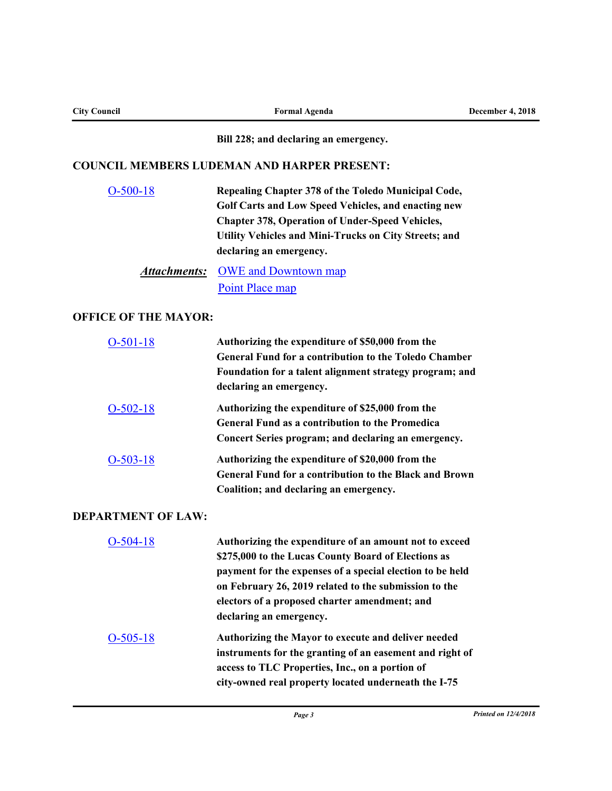| <b>City Council</b>         | <b>Formal Agenda</b>                                                                                                                                                                                                                                                                                            | <b>December 4, 2018</b>     |
|-----------------------------|-----------------------------------------------------------------------------------------------------------------------------------------------------------------------------------------------------------------------------------------------------------------------------------------------------------------|-----------------------------|
|                             | Bill 228; and declaring an emergency.                                                                                                                                                                                                                                                                           |                             |
|                             | <b>COUNCIL MEMBERS LUDEMAN AND HARPER PRESENT:</b>                                                                                                                                                                                                                                                              |                             |
| $O-500-18$                  | Repealing Chapter 378 of the Toledo Municipal Code,<br>Golf Carts and Low Speed Vehicles, and enacting new<br><b>Chapter 378, Operation of Under-Speed Vehicles,</b><br>Utility Vehicles and Mini-Trucks on City Streets; and<br>declaring an emergency.                                                        |                             |
| <b>Attachments:</b>         | <b>OWE</b> and Downtown map<br>Point Place map                                                                                                                                                                                                                                                                  |                             |
| <b>OFFICE OF THE MAYOR:</b> |                                                                                                                                                                                                                                                                                                                 |                             |
| $O-501-18$                  | Authorizing the expenditure of \$50,000 from the<br><b>General Fund for a contribution to the Toledo Chamber</b><br>Foundation for a talent alignment strategy program; and<br>declaring an emergency.                                                                                                          |                             |
| $O-502-18$                  | Authorizing the expenditure of \$25,000 from the<br><b>General Fund as a contribution to the Promedica</b><br>Concert Series program; and declaring an emergency.                                                                                                                                               |                             |
| $O-503-18$                  | Authorizing the expenditure of \$20,000 from the<br><b>General Fund for a contribution to the Black and Brown</b><br>Coalition; and declaring an emergency.                                                                                                                                                     |                             |
| <b>DEPARTMENT OF LAW:</b>   |                                                                                                                                                                                                                                                                                                                 |                             |
| $O-504-18$                  | Authorizing the expenditure of an amount not to exceed<br>\$275,000 to the Lucas County Board of Elections as<br>payment for the expenses of a special election to be held<br>on February 26, 2019 related to the submission to the<br>electors of a proposed charter amendment; and<br>declaring an emergency. |                             |
| $O-505-18$                  | Authorizing the Mayor to execute and deliver needed<br>instruments for the granting of an easement and right of<br>access to TLC Properties, Inc., on a portion of<br>city-owned real property located underneath the I-75                                                                                      |                             |
|                             | Page 3                                                                                                                                                                                                                                                                                                          | <b>Printed on 12/4/2018</b> |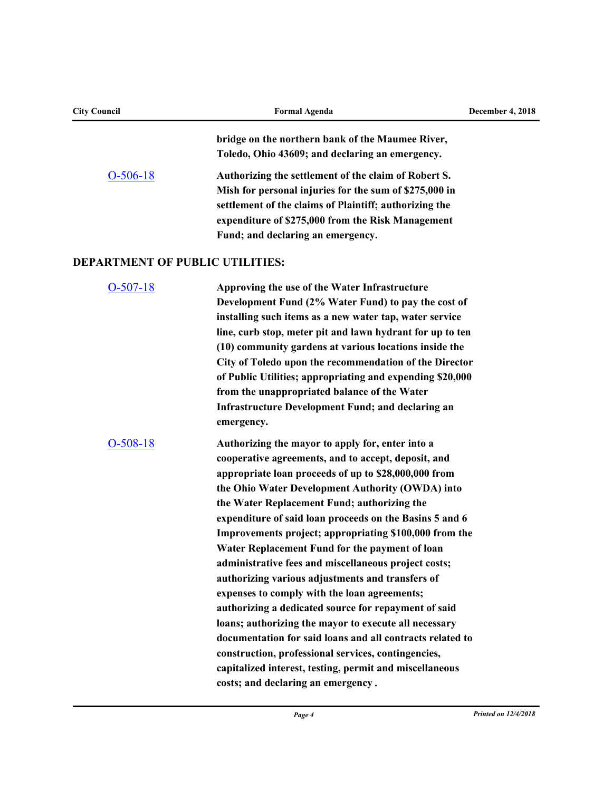| <b>City Council</b>                    | <b>Formal Agenda</b>                                                                                                                                                                                                                                                                                                                                                                                                                                                                                                                                                                                                                                                                                                                                                                                                                                                                                                                        | <b>December 4, 2018</b> |
|----------------------------------------|---------------------------------------------------------------------------------------------------------------------------------------------------------------------------------------------------------------------------------------------------------------------------------------------------------------------------------------------------------------------------------------------------------------------------------------------------------------------------------------------------------------------------------------------------------------------------------------------------------------------------------------------------------------------------------------------------------------------------------------------------------------------------------------------------------------------------------------------------------------------------------------------------------------------------------------------|-------------------------|
|                                        | bridge on the northern bank of the Maumee River,<br>Toledo, Ohio 43609; and declaring an emergency.                                                                                                                                                                                                                                                                                                                                                                                                                                                                                                                                                                                                                                                                                                                                                                                                                                         |                         |
| $O-506-18$                             | Authorizing the settlement of the claim of Robert S.<br>Mish for personal injuries for the sum of \$275,000 in<br>settlement of the claims of Plaintiff; authorizing the<br>expenditure of \$275,000 from the Risk Management<br>Fund; and declaring an emergency.                                                                                                                                                                                                                                                                                                                                                                                                                                                                                                                                                                                                                                                                          |                         |
| <b>DEPARTMENT OF PUBLIC UTILITIES:</b> |                                                                                                                                                                                                                                                                                                                                                                                                                                                                                                                                                                                                                                                                                                                                                                                                                                                                                                                                             |                         |
| $O-507-18$                             | Approving the use of the Water Infrastructure<br>Development Fund (2% Water Fund) to pay the cost of<br>installing such items as a new water tap, water service<br>line, curb stop, meter pit and lawn hydrant for up to ten<br>(10) community gardens at various locations inside the<br>City of Toledo upon the recommendation of the Director<br>of Public Utilities; appropriating and expending \$20,000<br>from the unappropriated balance of the Water<br><b>Infrastructure Development Fund; and declaring an</b><br>emergency.                                                                                                                                                                                                                                                                                                                                                                                                     |                         |
| $O-508-18$                             | Authorizing the mayor to apply for, enter into a<br>cooperative agreements, and to accept, deposit, and<br>appropriate loan proceeds of up to \$28,000,000 from<br>the Ohio Water Development Authority (OWDA) into<br>the Water Replacement Fund; authorizing the<br>expenditure of said loan proceeds on the Basins 5 and 6<br>Improvements project; appropriating \$100,000 from the<br>Water Replacement Fund for the payment of loan<br>administrative fees and miscellaneous project costs;<br>authorizing various adjustments and transfers of<br>expenses to comply with the loan agreements;<br>authorizing a dedicated source for repayment of said<br>loans; authorizing the mayor to execute all necessary<br>documentation for said loans and all contracts related to<br>construction, professional services, contingencies,<br>capitalized interest, testing, permit and miscellaneous<br>costs; and declaring an emergency. |                         |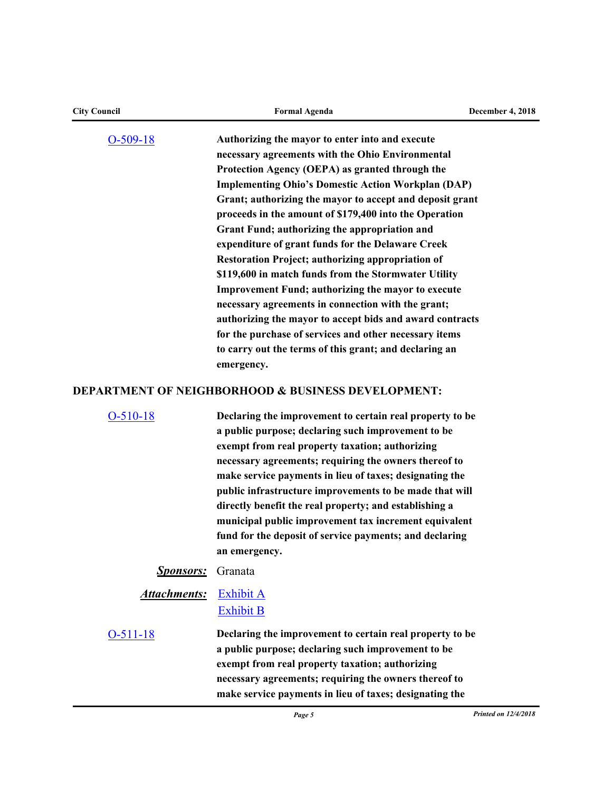| <b>City Council</b> | <b>Formal Agenda</b>                                          | <b>December 4, 2018</b>     |
|---------------------|---------------------------------------------------------------|-----------------------------|
| $O-509-18$          | Authorizing the mayor to enter into and execute               |                             |
|                     | necessary agreements with the Ohio Environmental              |                             |
|                     | Protection Agency (OEPA) as granted through the               |                             |
|                     | <b>Implementing Ohio's Domestic Action Workplan (DAP)</b>     |                             |
|                     | Grant; authorizing the mayor to accept and deposit grant      |                             |
|                     | proceeds in the amount of \$179,400 into the Operation        |                             |
|                     | Grant Fund; authorizing the appropriation and                 |                             |
|                     | expenditure of grant funds for the Delaware Creek             |                             |
|                     | Restoration Project; authorizing appropriation of             |                             |
|                     | \$119,600 in match funds from the Stormwater Utility          |                             |
|                     | <b>Improvement Fund; authorizing the mayor to execute</b>     |                             |
|                     | necessary agreements in connection with the grant;            |                             |
|                     | authorizing the mayor to accept bids and award contracts      |                             |
|                     | for the purchase of services and other necessary items        |                             |
|                     | to carry out the terms of this grant; and declaring an        |                             |
|                     | emergency.                                                    |                             |
|                     | <b>DEPARTMENT OF NEIGHBORHOOD &amp; BUSINESS DEVELOPMENT:</b> |                             |
| $O-510-18$          | Declaring the improvement to certain real property to be      |                             |
|                     | a public purpose; declaring such improvement to be            |                             |
|                     | exempt from real property taxation; authorizing               |                             |
|                     | necessary agreements; requiring the owners thereof to         |                             |
|                     | make service payments in lieu of taxes; designating the       |                             |
|                     | public infrastructure improvements to be made that will       |                             |
|                     | directly benefit the real property; and establishing a        |                             |
|                     | municipal public improvement tax increment equivalent         |                             |
|                     | fund for the deposit of service payments; and declaring       |                             |
|                     | an emergency.                                                 |                             |
| <b>Sponsors:</b>    | Granata                                                       |                             |
| <b>Attachments:</b> | <b>Exhibit A</b>                                              |                             |
|                     | <b>Exhibit B</b>                                              |                             |
| $O-511-18$          | Declaring the improvement to certain real property to be      |                             |
|                     | a public purpose; declaring such improvement to be            |                             |
|                     | exempt from real property taxation; authorizing               |                             |
|                     | necessary agreements; requiring the owners thereof to         |                             |
|                     | make service payments in lieu of taxes; designating the       |                             |
|                     | Page 5                                                        | <b>Printed on 12/4/2018</b> |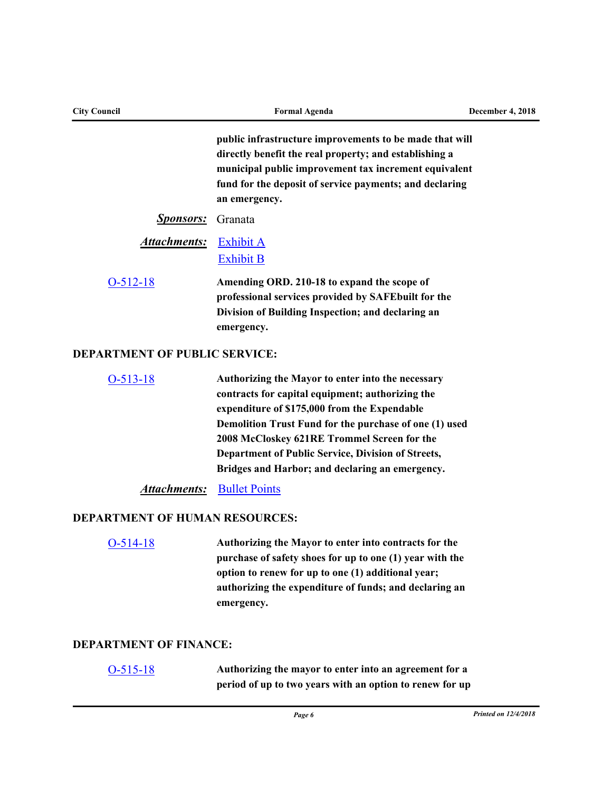| <b>City Council</b>                   | <b>Formal Agenda</b>                                                                                                                                                                                                                                                                                                                                                    | December 4, 2018 |
|---------------------------------------|-------------------------------------------------------------------------------------------------------------------------------------------------------------------------------------------------------------------------------------------------------------------------------------------------------------------------------------------------------------------------|------------------|
|                                       | public infrastructure improvements to be made that will<br>directly benefit the real property; and establishing a<br>municipal public improvement tax increment equivalent<br>fund for the deposit of service payments; and declaring<br>an emergency.                                                                                                                  |                  |
| <b>Sponsors:</b>                      | Granata                                                                                                                                                                                                                                                                                                                                                                 |                  |
| <b>Attachments:</b>                   | <b>Exhibit A</b><br><b>Exhibit B</b>                                                                                                                                                                                                                                                                                                                                    |                  |
| $O-512-18$                            | Amending ORD. 210-18 to expand the scope of<br>professional services provided by SAFEbuilt for the<br>Division of Building Inspection; and declaring an<br>emergency.                                                                                                                                                                                                   |                  |
| <b>DEPARTMENT OF PUBLIC SERVICE:</b>  |                                                                                                                                                                                                                                                                                                                                                                         |                  |
| $O-513-18$                            | Authorizing the Mayor to enter into the necessary<br>contracts for capital equipment; authorizing the<br>expenditure of \$175,000 from the Expendable<br>Demolition Trust Fund for the purchase of one (1) used<br>2008 McCloskey 621RE Trommel Screen for the<br>Department of Public Service, Division of Streets,<br>Bridges and Harbor; and declaring an emergency. |                  |
| <u>Attachments:</u>                   | <b>Bullet Points</b>                                                                                                                                                                                                                                                                                                                                                    |                  |
| <b>DEPARTMENT OF HUMAN RESOURCES:</b> |                                                                                                                                                                                                                                                                                                                                                                         |                  |
| $O-514-18$                            | Authorizing the Mayor to enter into contracts for the<br>purchase of safety shoes for up to one (1) year with the<br>option to renew for up to one (1) additional year;<br>authorizing the expenditure of funds; and declaring an<br>emergency.                                                                                                                         |                  |
| <b>DEPARTMENT OF FINANCE:</b>         |                                                                                                                                                                                                                                                                                                                                                                         |                  |
| $O-515-18$                            | Authorizing the mayor to enter into an agreement for a<br>period of up to two years with an option to renew for up                                                                                                                                                                                                                                                      |                  |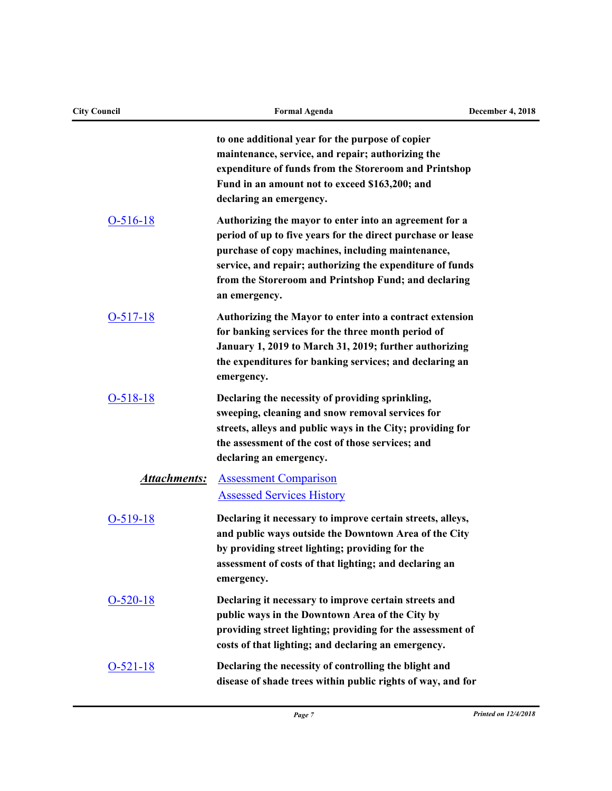| <b>City Council</b> | <b>Formal Agenda</b>                                                                                                                                                                                                                                                                                             | <b>December 4, 2018</b> |
|---------------------|------------------------------------------------------------------------------------------------------------------------------------------------------------------------------------------------------------------------------------------------------------------------------------------------------------------|-------------------------|
|                     | to one additional year for the purpose of copier<br>maintenance, service, and repair; authorizing the<br>expenditure of funds from the Storeroom and Printshop<br>Fund in an amount not to exceed \$163,200; and<br>declaring an emergency.                                                                      |                         |
| $O-516-18$          | Authorizing the mayor to enter into an agreement for a<br>period of up to five years for the direct purchase or lease<br>purchase of copy machines, including maintenance,<br>service, and repair; authorizing the expenditure of funds<br>from the Storeroom and Printshop Fund; and declaring<br>an emergency. |                         |
| $O-517-18$          | Authorizing the Mayor to enter into a contract extension<br>for banking services for the three month period of<br>January 1, 2019 to March 31, 2019; further authorizing<br>the expenditures for banking services; and declaring an<br>emergency.                                                                |                         |
| $O-518-18$          | Declaring the necessity of providing sprinkling,<br>sweeping, cleaning and snow removal services for<br>streets, alleys and public ways in the City; providing for<br>the assessment of the cost of those services; and<br>declaring an emergency.                                                               |                         |
| <b>Attachments:</b> | <b>Assessment Comparison</b><br><b>Assessed Services History</b>                                                                                                                                                                                                                                                 |                         |
| $O-519-18$          | Declaring it necessary to improve certain streets, alleys,<br>and public ways outside the Downtown Area of the City<br>by providing street lighting; providing for the<br>assessment of costs of that lighting; and declaring an<br>emergency.                                                                   |                         |
| $O-520-18$          | Declaring it necessary to improve certain streets and<br>public ways in the Downtown Area of the City by<br>providing street lighting; providing for the assessment of<br>costs of that lighting; and declaring an emergency.                                                                                    |                         |
| $O-521-18$          | Declaring the necessity of controlling the blight and<br>disease of shade trees within public rights of way, and for                                                                                                                                                                                             |                         |

## *Page 7 Printed on 12/4/2018*